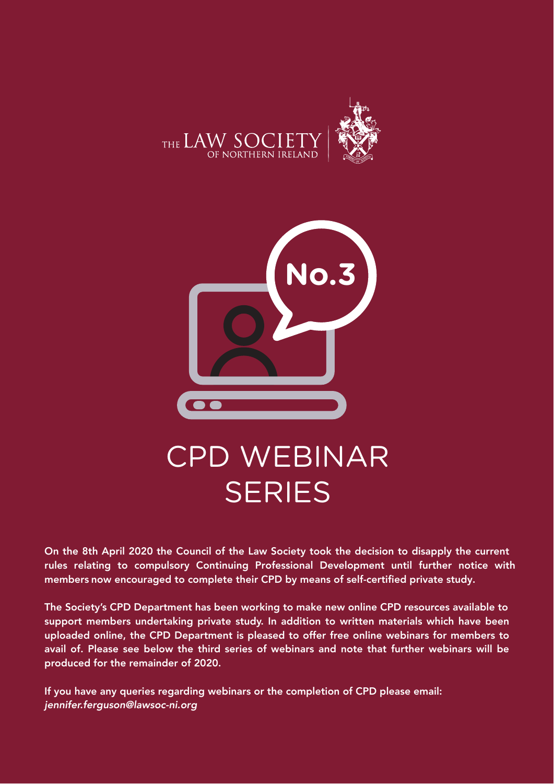



On the 8th April 2020 the Council of the Law Society took the decision to disapply the current rules relating to compulsory Continuing Professional Development until further notice with members now encouraged to complete their CPD by means of self-certified private study.

The Society's CPD Department has been working to make new online CPD resources available to support members undertaking private study. In addition to written materials which have been uploaded online, the CPD Department is pleased to offer free online webinars for members to avail of. Please see below the third series of webinars and note that further webinars will be produced for the remainder of 2020.

If you have any queries regarding webinars or the completion of CPD please email: *jennifer.ferguson@lawsoc-ni.org*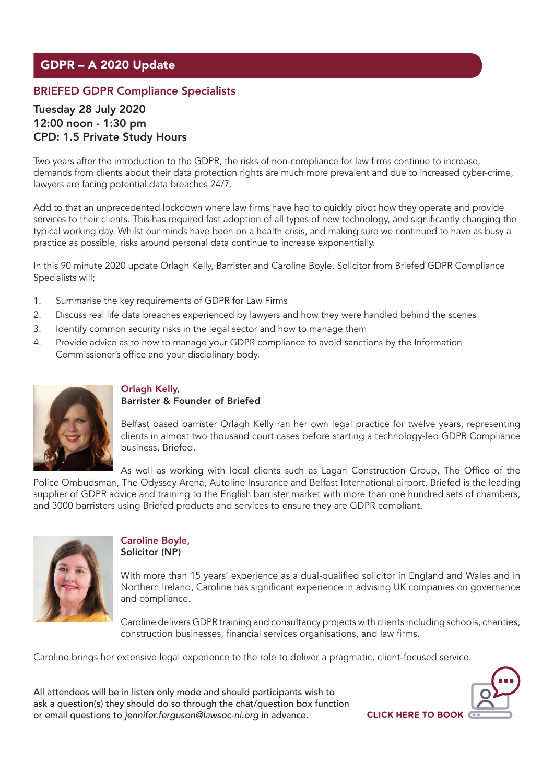# GDPR – A 2020 Update

### BRIEFED GDPR Compliance Specialists

### Tuesday 28 July 2020 12:00 noon - 1:30 pm CPD: 1.5 Private Study Hours

Two years after the introduction to the GDPR, the risks of non-compliance for law firms continue to increase, demands from clients about their data protection rights are much more prevalent and due to increased cyber-crime, lawyers are facing potential data breaches 24/7.

Add to that an unprecedented lockdown where law firms have had to quickly pivot how they operate and provide services to their clients. This has required fast adoption of all types of new technology, and significantly changing the typical working day. Whilst our minds have been on a health crisis, and making sure we continued to have as busy a practice as possible, risks around personal data continue to increase exponentially.

In this 90 minute 2020 update Orlagh Kelly, Barrister and Caroline Boyle, Solicitor from Briefed GDPR Compliance Specialists will;

- 1. Summarise the key requirements of GDPR for Law Firms
- 2. Discuss real life data breaches experienced by lawyers and how they were handled behind the scenes
- 3. Identify common security risks in the legal sector and how to manage them
- 4. Provide advice as to how to manage your GDPR compliance to avoid sanctions by the Information Commissioner's office and your disciplinary body.



#### Orlagh Kelly, Barrister & Founder of Briefed

Belfast based barrister Orlagh Kelly ran her own legal practice for twelve years, representing clients in almost two thousand court cases before starting a technology-led GDPR Compliance business, Briefed.

As well as working with local clients such as Lagan Construction Group, The Office of the Police Ombudsman, The Odyssey Arena, Autoline Insurance and Belfast International airport, Briefed is the leading supplier of GDPR advice and training to the English barrister market with more than one hundred sets of chambers, and 3000 barristers using Briefed products and services to ensure they are GDPR compliant.



#### Caroline Boyle, Solicitor (NP)

With more than 15 years' experience as a dual-qualified solicitor in England and Wales and in Northern Ireland, Caroline has significant experience in advising UK companies on governance and compliance.

Caroline delivers GDPR training and consultancy projects with clients including schools, charities, construction businesses, financial services organisations, and law firms.

Caroline brings her extensive legal experience to the role to deliver a pragmatic, client-focused service.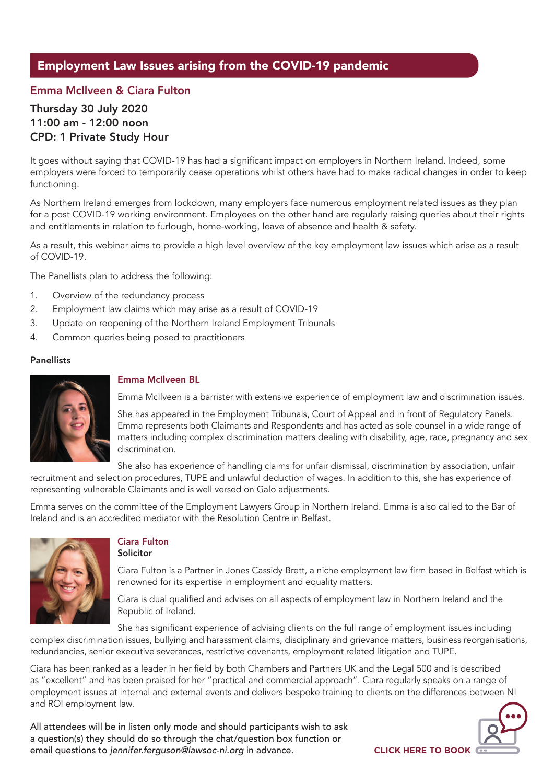## Employment Law Issues arising from the COVID-19 pandemic

### Emma McIlveen & Ciara Fulton

### Thursday 30 July 2020 11:00 am - 12:00 noon CPD: 1 Private Study Hour

It goes without saying that COVID-19 has had a significant impact on employers in Northern Ireland. Indeed, some employers were forced to temporarily cease operations whilst others have had to make radical changes in order to keep functioning.

As Northern Ireland emerges from lockdown, many employers face numerous employment related issues as they plan for a post COVID-19 working environment. Employees on the other hand are regularly raising queries about their rights and entitlements in relation to furlough, home-working, leave of absence and health & safety.

As a result, this webinar aims to provide a high level overview of the key employment law issues which arise as a result of COVID-19.

The Panellists plan to address the following:

- 1. Overview of the redundancy process
- 2. Employment law claims which may arise as a result of COVID-19
- 3. Update on reopening of the Northern Ireland Employment Tribunals
- 4. Common queries being posed to practitioners

#### **Panellists**



#### Emma McIlveen BL

Emma McIlveen is a barrister with extensive experience of employment law and discrimination issues.

She has appeared in the Employment Tribunals, Court of Appeal and in front of Regulatory Panels. Emma represents both Claimants and Respondents and has acted as sole counsel in a wide range of matters including complex discrimination matters dealing with disability, age, race, pregnancy and sex discrimination.

She also has experience of handling claims for unfair dismissal, discrimination by association, unfair recruitment and selection procedures, TUPE and unlawful deduction of wages. In addition to this, she has experience of representing vulnerable Claimants and is well versed on Galo adjustments.

Emma serves on the committee of the Employment Lawyers Group in Northern Ireland. Emma is also called to the Bar of Ireland and is an accredited mediator with the Resolution Centre in Belfast.



#### Ciara Fulton Solicitor

Ciara Fulton is a Partner in Jones Cassidy Brett, a niche employment law firm based in Belfast which is renowned for its expertise in employment and equality matters.

Ciara is dual qualified and advises on all aspects of employment law in Northern Ireland and the Republic of Ireland.

She has significant experience of advising clients on the full range of employment issues including complex discrimination issues, bullying and harassment claims, disciplinary and grievance matters, business reorganisations, redundancies, senior executive severances, restrictive covenants, employment related litigation and TUPE.

Ciara has been ranked as a leader in her field by both Chambers and Partners UK and the Legal 500 and is described as "excellent" and has been praised for her "practical and commercial approach". Ciara regularly speaks on a range of employment issues at internal and external events and delivers bespoke training to clients on the differences between NI and ROI employment law.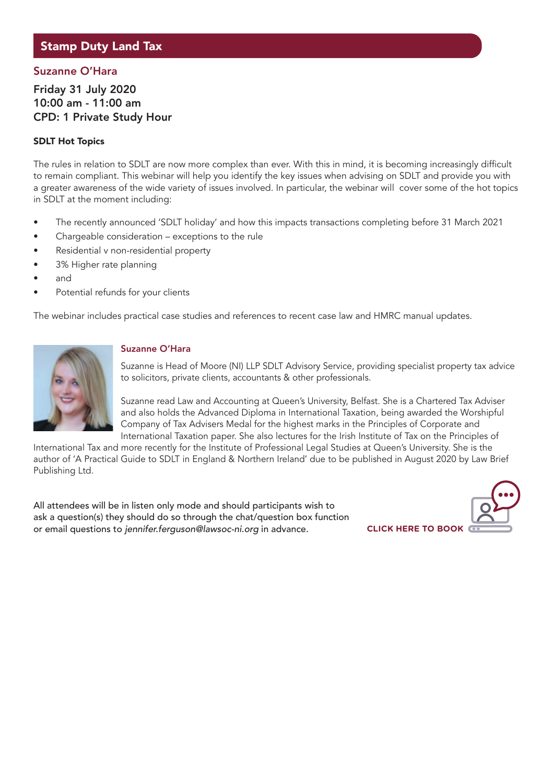### Stamp Duty Land Tax

### Suzanne O'Hara

Friday 31 July 2020 10:00 am - 11:00 am CPD: 1 Private Study Hour

#### SDLT Hot Topics

The rules in relation to SDLT are now more complex than ever. With this in mind, it is becoming increasingly difficult to remain compliant. This webinar will help you identify the key issues when advising on SDLT and provide you with a greater awareness of the wide variety of issues involved. In particular, the webinar will cover some of the hot topics in SDLT at the moment including:

- The recently announced 'SDLT holiday' and how this impacts transactions completing before 31 March 2021
- Chargeable consideration exceptions to the rule
- Residential v non-residential property
- 3% Higher rate planning
- and
- Potential refunds for your clients

The webinar includes practical case studies and references to recent case law and HMRC manual updates.



#### Suzanne O'Hara

Suzanne is Head of Moore (NI) LLP SDLT Advisory Service, providing specialist property tax advice to solicitors, private clients, accountants & other professionals.

Suzanne read Law and Accounting at Queen's University, Belfast. She is a Chartered Tax Adviser and also holds the Advanced Diploma in International Taxation, being awarded the Worshipful Company of Tax Advisers Medal for the highest marks in the Principles of Corporate and International Taxation paper. She also lectures for the Irish Institute of Tax on the Principles of

International Tax and more recently for the Institute of Professional Legal Studies at Queen's University. She is the author of 'A Practical Guide to SDLT in England & Northern Ireland' due to be published in August 2020 by Law Brief Publishing Ltd.

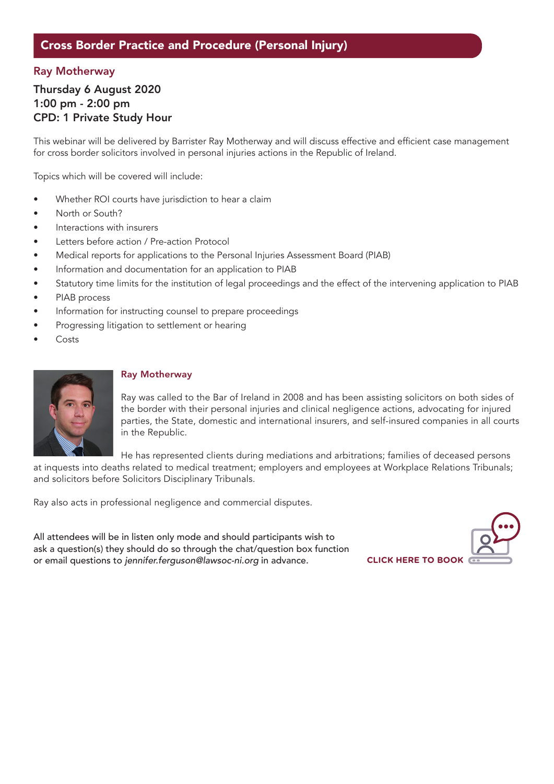### Cross Border Practice and Procedure (Personal Injury)

### Ray Motherway

### Thursday 6 August 2020 1:00 pm - 2:00 pm CPD: 1 Private Study Hour

This webinar will be delivered by Barrister Ray Motherway and will discuss effective and efficient case management for cross border solicitors involved in personal injuries actions in the Republic of Ireland.

Topics which will be covered will include:

- Whether ROI courts have jurisdiction to hear a claim
- North or South?
- Interactions with insurers
- Letters before action / Pre-action Protocol
- Medical reports for applications to the Personal Injuries Assessment Board (PIAB)
- Information and documentation for an application to PIAB
- Statutory time limits for the institution of legal proceedings and the effect of the intervening application to PIAB
- PIAB process
- Information for instructing counsel to prepare proceedings
- Progressing litigation to settlement or hearing
- **Costs**



#### Ray Motherway

Ray was called to the Bar of Ireland in 2008 and has been assisting solicitors on both sides of the border with their personal injuries and clinical negligence actions, advocating for injured parties, the State, domestic and international insurers, and self-insured companies in all courts in the Republic.

He has represented clients during mediations and arbitrations; families of deceased persons

at inquests into deaths related to medical treatment; employers and employees at Workplace Relations Tribunals; and solicitors before Solicitors Disciplinary Tribunals.

Ray also acts in professional negligence and commercial disputes.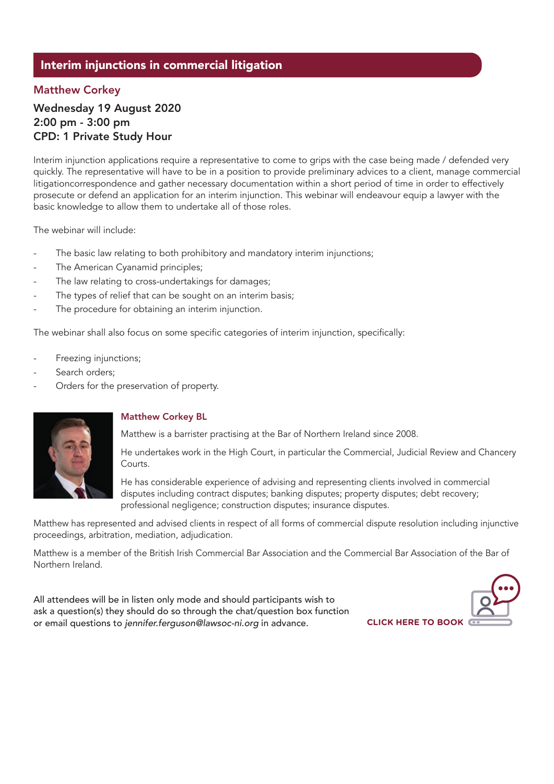### Interim injunctions in commercial litigation

### Matthew Corkey

### Wednesday 19 August 2020 2:00 pm - 3:00 pm CPD: 1 Private Study Hour

Interim injunction applications require a representative to come to grips with the case being made / defended very quickly. The representative will have to be in a position to provide preliminary advices to a client, manage commercial litigationcorrespondence and gather necessary documentation within a short period of time in order to effectively prosecute or defend an application for an interim injunction. This webinar will endeavour equip a lawyer with the basic knowledge to allow them to undertake all of those roles.

The webinar will include:

- The basic law relating to both prohibitory and mandatory interim injunctions;
- The American Cyanamid principles;
- The law relating to cross-undertakings for damages;
- The types of relief that can be sought on an interim basis;
- The procedure for obtaining an interim injunction.

The webinar shall also focus on some specific categories of interim injunction, specifically:

- Freezing injunctions;
- Search orders;
- Orders for the preservation of property.



#### Matthew Corkey BL

Matthew is a barrister practising at the Bar of Northern Ireland since 2008.

He undertakes work in the High Court, in particular the Commercial, Judicial Review and Chancery Courts.

He has considerable experience of advising and representing clients involved in commercial disputes including contract disputes; banking disputes; property disputes; debt recovery; professional negligence; construction disputes; insurance disputes.

Matthew has represented and advised clients in respect of all forms of commercial dispute resolution including injunctive proceedings, arbitration, mediation, adjudication.

Matthew is a member of the British Irish Commercial Bar Association and the Commercial Bar Association of the Bar of Northern Ireland.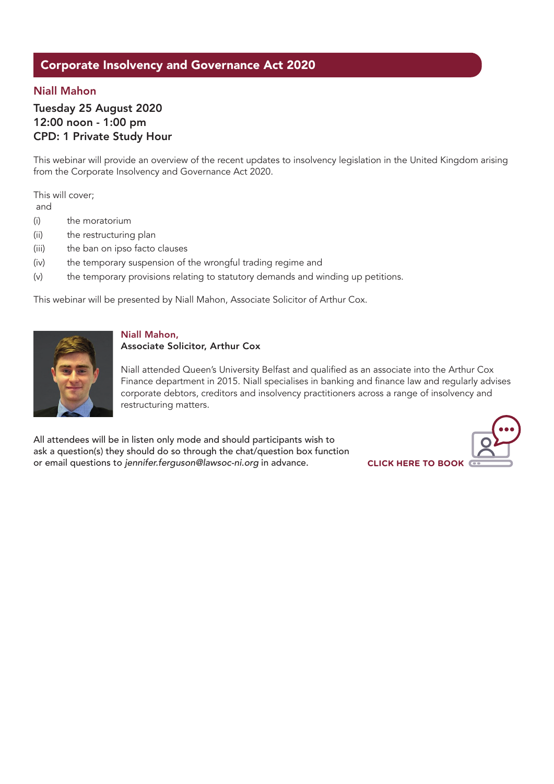### Corporate Insolvency and Governance Act 2020

### Niall Mahon

Tuesday 25 August 2020 12:00 noon - 1:00 pm CPD: 1 Private Study Hour

This webinar will provide an overview of the recent updates to insolvency legislation in the United Kingdom arising from the Corporate Insolvency and Governance Act 2020.

This will cover;

and

- (i) the moratorium
- (ii) the restructuring plan
- (iii) the ban on ipso facto clauses
- (iv) the temporary suspension of the wrongful trading regime and
- (v) the temporary provisions relating to statutory demands and winding up petitions.

This webinar will be presented by Niall Mahon, Associate Solicitor of Arthur Cox.



#### Niall Mahon,

#### Associate Solicitor, Arthur Cox

Niall attended Queen's University Belfast and qualified as an associate into the Arthur Cox Finance department in 2015. Niall specialises in banking and finance law and regularly advises corporate debtors, creditors and insolvency practitioners across a range of insolvency and restructuring matters.

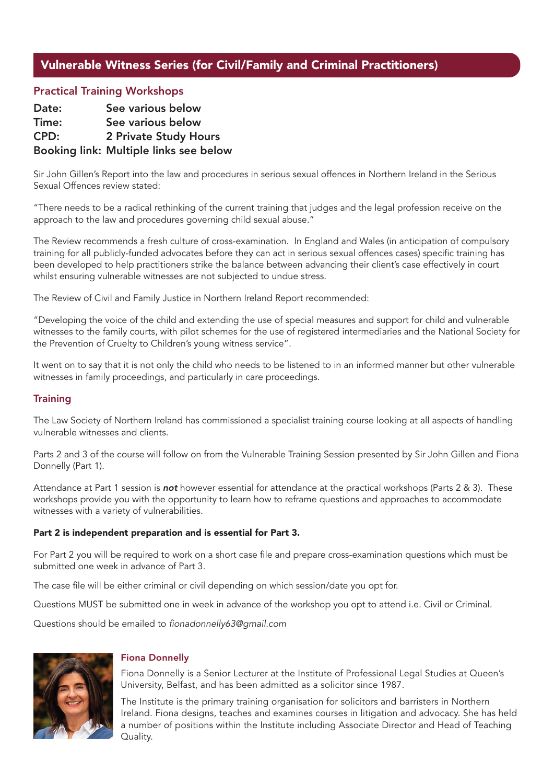### Vulnerable Witness Series (for Civil/Family and Criminal Practitioners)

### Practical Training Workshops

| Date: | See various below                      |
|-------|----------------------------------------|
| Time: | See various below                      |
| CPD:  | <b>2 Private Study Hours</b>           |
|       | Booking link: Multiple links see below |

Sir John Gillen's Report into the law and procedures in serious sexual offences in Northern Ireland in the Serious Sexual Offences review stated:

"There needs to be a radical rethinking of the current training that judges and the legal profession receive on the approach to the law and procedures governing child sexual abuse."

The Review recommends a fresh culture of cross-examination. In England and Wales (in anticipation of compulsory training for all publicly-funded advocates before they can act in serious sexual offences cases) specific training has been developed to help practitioners strike the balance between advancing their client's case effectively in court whilst ensuring vulnerable witnesses are not subjected to undue stress.

The Review of Civil and Family Justice in Northern Ireland Report recommended:

"Developing the voice of the child and extending the use of special measures and support for child and vulnerable witnesses to the family courts, with pilot schemes for the use of registered intermediaries and the National Society for the Prevention of Cruelty to Children's young witness service".

It went on to say that it is not only the child who needs to be listened to in an informed manner but other vulnerable witnesses in family proceedings, and particularly in care proceedings.

#### **Training**

The Law Society of Northern Ireland has commissioned a specialist training course looking at all aspects of handling vulnerable witnesses and clients.

Parts 2 and 3 of the course will follow on from the Vulnerable Training Session presented by Sir John Gillen and Fiona Donnelly (Part 1).

Attendance at Part 1 session is *not* however essential for attendance at the practical workshops (Parts 2 & 3). These workshops provide you with the opportunity to learn how to reframe questions and approaches to accommodate witnesses with a variety of vulnerabilities.

#### Part 2 is independent preparation and is essential for Part 3.

For Part 2 you will be required to work on a short case file and prepare cross-examination questions which must be submitted one week in advance of Part 3.

The case file will be either criminal or civil depending on which session/date you opt for.

Questions MUST be submitted one in week in advance of the workshop you opt to attend i.e. Civil or Criminal.

Questions should be emailed to fionadonnelly63@gmail.com



#### Fiona Donnelly

Fiona Donnelly is a Senior Lecturer at the Institute of Professional Legal Studies at Queen's University, Belfast, and has been admitted as a solicitor since 1987.

The Institute is the primary training organisation for solicitors and barristers in Northern Ireland. Fiona designs, teaches and examines courses in litigation and advocacy. She has held a number of positions within the Institute including Associate Director and Head of Teaching Quality.